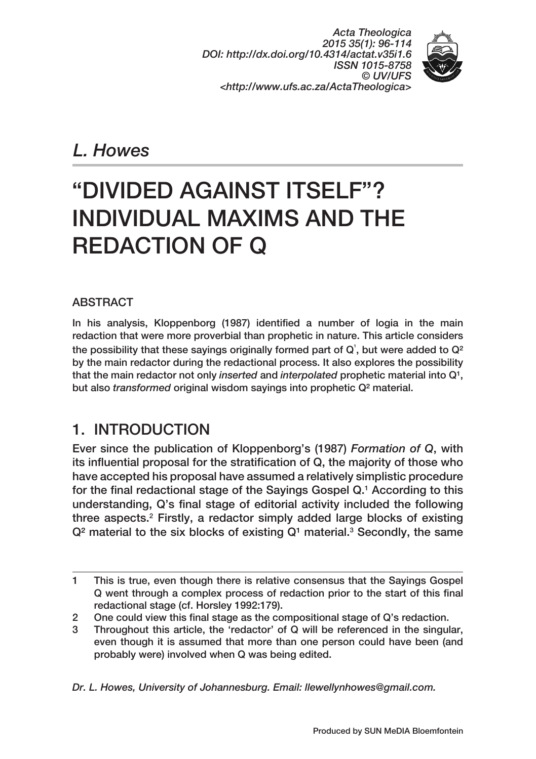*Acta Theologica 2015 35(1): 96‑114 DOI: http://dx.doi.org/10.4314/actat.v35i1.6 ISSN 1015‑8758 © UV/UFS <http://www.ufs.ac.za/ActaTheologica>*



*L. Howes*

# "DIVIDED AGAINST ITSELF"? INDIVIDUAL MAXIMS AND THE REDACTION OF Q

### ABSTRACT

In his analysis, Kloppenborg (1987) identified a number of logia in the main redaction that were more proverbial than prophetic in nature. This article considers the possibility that these sayings originally formed part of  $Q<sup>1</sup>$ , but were added to  $Q<sup>2</sup>$ by the main redactor during the redactional process. It also explores the possibility that the main redactor not only *inserted* and *interpolated* prophetic material into Q<sup>1</sup>, but also *transformed* original wisdom sayings into prophetic Q² material.

### 1. INTRODUCTION

Ever since the publication of Kloppenborg's (1987) *Formation of Q*, with its influential proposal for the stratification of Q, the majority of those who have accepted his proposal have assumed a relatively simplistic procedure for the final redactional stage of the Sayings Gospel Q.1 According to this understanding, Q's final stage of editorial activity included the following three aspects.<sup>2</sup> Firstly, a redactor simply added large blocks of existing  $Q<sup>2</sup>$  material to the six blocks of existing  $Q<sup>1</sup>$  material.<sup>3</sup> Secondly, the same

*Dr. L. Howes, University of Johannesburg. Email: llewellynhowes@gmail.com.*

<sup>1</sup> This is true, even though there is relative consensus that the Sayings Gospel Q went through a complex process of redaction prior to the start of this final redactional stage (cf. Horsley 1992:179).

<sup>2</sup> One could view this final stage as the compositional stage of Q's redaction.

<sup>3</sup> Throughout this article, the 'redactor' of Q will be referenced in the singular, even though it is assumed that more than one person could have been (and probably were) involved when Q was being edited.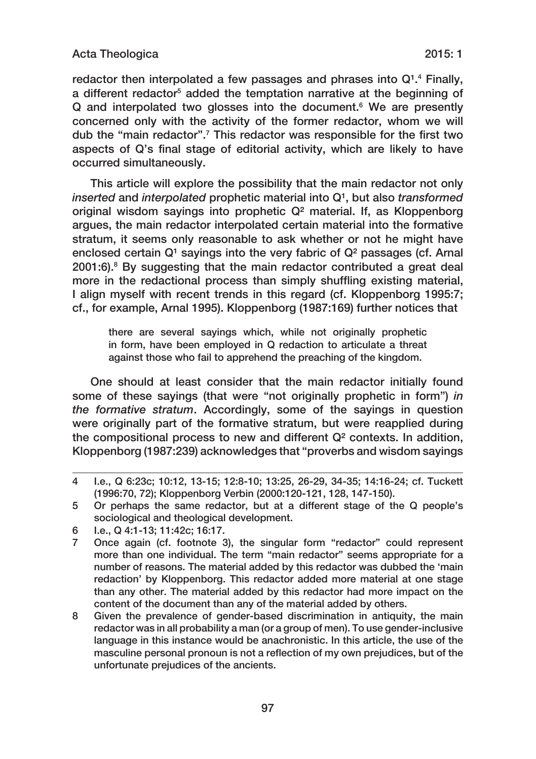#### Acta Theologica 2015: 1

redactor then interpolated a few passages and phrases into Q<sup>1</sup>.<sup>4</sup> Finally, a different redactor<sup>s</sup> added the temptation narrative at the beginning of Q and interpolated two glosses into the document.<sup>6</sup> We are presently concerned only with the activity of the former redactor, whom we will dub the "main redactor".<sup>7</sup> This redactor was responsible for the first two aspects of Q's final stage of editorial activity, which are likely to have occurred simultaneously.

This article will explore the possibility that the main redactor not only *inserted* and *interpolated* prophetic material into Q<sup>1</sup>, but also *transformed* original wisdom sayings into prophetic Q² material. If, as Kloppenborg argues, the main redactor interpolated certain material into the formative stratum, it seems only reasonable to ask whether or not he might have enclosed certain  $Q<sup>1</sup>$  sayings into the very fabric of  $Q<sup>2</sup>$  passages (cf. Arnal 2001:6).8 By suggesting that the main redactor contributed a great deal more in the redactional process than simply shuffling existing material, I align myself with recent trends in this regard (cf. Kloppenborg 1995:7; cf., for example, Arnal 1995). Kloppenborg (1987:169) further notices that

there are several sayings which, while not originally prophetic in form, have been employed in Q redaction to articulate a threat against those who fail to apprehend the preaching of the kingdom.

One should at least consider that the main redactor initially found some of these sayings (that were "not originally prophetic in form") *in the formative stratum*. Accordingly, some of the sayings in question were originally part of the formative stratum, but were reapplied during the compositional process to new and different Q² contexts. In addition, Kloppenborg (1987:239) acknowledges that "proverbs and wisdom sayings

<sup>4</sup> I.e., Q 6:23c; 10:12, 13‑15; 12:8‑10; 13:25, 26‑29, 34‑35; 14:16‑24; cf. Tuckett (1996:70, 72); Kloppenborg Verbin (2000:120‑121, 128, 147‑150).

<sup>5</sup> Or perhaps the same redactor, but at a different stage of the Q people's sociological and theological development.

<sup>6</sup> I.e., Q 4:1‑13; 11:42c; 16:17.

<sup>7</sup> Once again (cf. footnote 3), the singular form "redactor" could represent more than one individual. The term "main redactor" seems appropriate for a number of reasons. The material added by this redactor was dubbed the 'main redaction' by Kloppenborg. This redactor added more material at one stage than any other. The material added by this redactor had more impact on the content of the document than any of the material added by others.

<sup>8</sup> Given the prevalence of gender-based discrimination in antiquity, the main redactor was in all probability a man (or a group of men). To use gender‑inclusive language in this instance would be anachronistic. In this article, the use of the masculine personal pronoun is not a reflection of my own prejudices, but of the unfortunate prejudices of the ancients.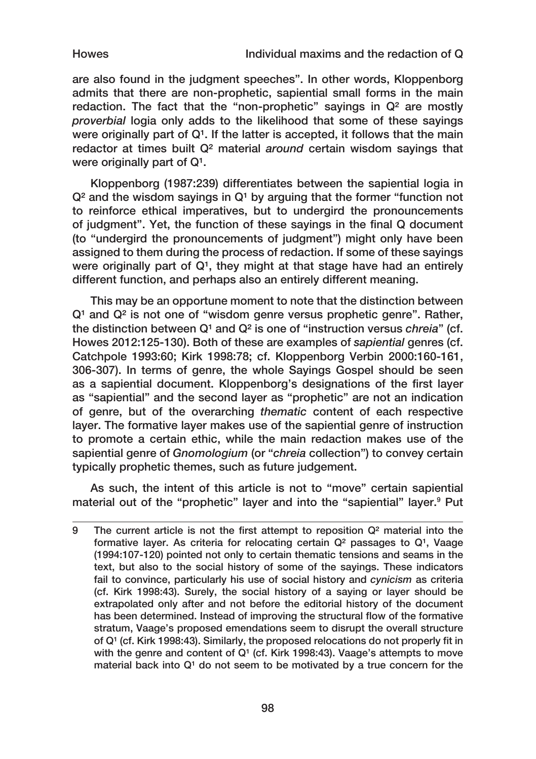Howes Individual maxims and the redaction of Q

are also found in the judgment speeches". In other words, Kloppenborg admits that there are non-prophetic, sapiential small forms in the main redaction. The fact that the "non-prophetic" sayings in  $\mathbb{Q}^2$  are mostly *proverbial* logia only adds to the likelihood that some of these sayings were originally part of  $Q<sup>1</sup>$ . If the latter is accepted, it follows that the main redactor at times built Q² material *around* certain wisdom sayings that were originally part of  $Q<sup>1</sup>$ .

Kloppenborg (1987:239) differentiates between the sapiential logia in  $Q<sup>2</sup>$  and the wisdom sayings in  $Q<sup>1</sup>$  by arguing that the former "function not to reinforce ethical imperatives, but to undergird the pronouncements of judgment". Yet, the function of these sayings in the final Q document (to "undergird the pronouncements of judgment") might only have been assigned to them during the process of redaction. If some of these sayings were originally part of  $Q<sup>1</sup>$ , they might at that stage have had an entirely different function, and perhaps also an entirely different meaning.

This may be an opportune moment to note that the distinction between  $Q<sup>1</sup>$  and  $Q<sup>2</sup>$  is not one of "wisdom genre versus prophetic genre". Rather, the distinction between Q<sup>1</sup> and Q<sup>2</sup> is one of "instruction versus *chreia*" (cf. Howes 2012:125‑130). Both of these are examples of *sapiential* genres (cf. Catchpole 1993:60; Kirk 1998:78; cf. Kloppenborg Verbin 2000:160‑161, 306‑307). In terms of genre, the whole Sayings Gospel should be seen as a sapiential document. Kloppenborg's designations of the first layer as "sapiential" and the second layer as "prophetic" are not an indication of genre, but of the overarching *thematic* content of each respective layer. The formative layer makes use of the sapiential genre of instruction to promote a certain ethic, while the main redaction makes use of the sapiential genre of *Gnomologium* (or "*chreia* collection") to convey certain typically prophetic themes, such as future judgement.

As such, the intent of this article is not to "move" certain sapiential material out of the "prophetic" layer and into the "sapiential" layer.<sup>9</sup> Put

<sup>9</sup> The current article is not the first attempt to reposition  $Q<sup>2</sup>$  material into the formative layer. As criteria for relocating certain  $Q<sup>2</sup>$  passages to  $Q<sup>1</sup>$ , Vaage (1994:107‑120) pointed not only to certain thematic tensions and seams in the text, but also to the social history of some of the sayings. These indicators fail to convince, particularly his use of social history and *cynicism* as criteria (cf. Kirk 1998:43). Surely, the social history of a saying or layer should be extrapolated only after and not before the editorial history of the document has been determined. Instead of improving the structural flow of the formative stratum, Vaage's proposed emendations seem to disrupt the overall structure of Q<sup>1</sup> (cf. Kirk 1998:43). Similarly, the proposed relocations do not properly fit in with the genre and content of  $Q<sup>1</sup>$  (cf. Kirk 1998:43). Vaage's attempts to move material back into  $Q<sup>1</sup>$  do not seem to be motivated by a true concern for the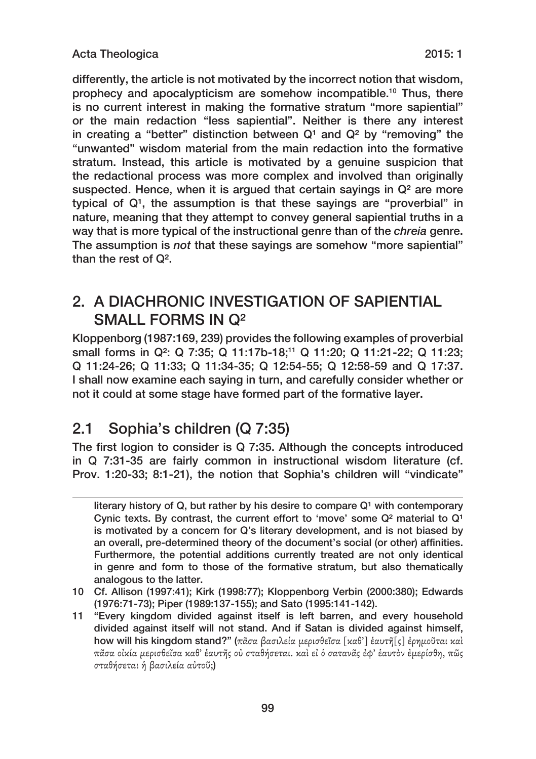differently, the article is not motivated by the incorrect notion that wisdom, prophecy and apocalypticism are somehow incompatible.<sup>10</sup> Thus, there is no current interest in making the formative stratum "more sapiential" or the main redaction "less sapiential". Neither is there any interest in creating a "better" distinction between  $Q<sup>1</sup>$  and  $Q<sup>2</sup>$  by "removing" the "unwanted" wisdom material from the main redaction into the formative stratum. Instead, this article is motivated by a genuine suspicion that the redactional process was more complex and involved than originally suspected. Hence, when it is argued that certain sayings in Q<sup>2</sup> are more typical of  $Q<sup>1</sup>$ , the assumption is that these sayings are "proverbial" in nature, meaning that they attempt to convey general sapiential truths in a way that is more typical of the instructional genre than of the *chreia* genre. The assumption is *not* that these sayings are somehow "more sapiential" than the rest of Q².

### 2. A DIACHRONIC INVESTIGATION OF SAPIENTIAL SMALL FORMS IN Q²

Kloppenborg (1987:169, 239) provides the following examples of proverbial small forms in Q<sup>2</sup>: Q 7:35; Q 11:17b-18;<sup>11</sup> Q 11:20; Q 11:21-22; Q 11:23; Q 11:24‑26; Q 11:33; Q 11:34‑35; Q 12:54‑55; Q 12:58‑59 and Q 17:37. I shall now examine each saying in turn, and carefully consider whether or not it could at some stage have formed part of the formative layer.

## 2.1 Sophia's children (Q 7:35)

The first logion to consider is Q 7:35. Although the concepts introduced in Q 7:31‑35 are fairly common in instructional wisdom literature (cf. Prov. 1:20‑33; 8:1‑21), the notion that Sophia's children will "vindicate"

10 Cf. Allison (1997:41); Kirk (1998:77); Kloppenborg Verbin (2000:380); Edwards (1976:71‑73); Piper (1989:137‑155); and Sato (1995:141‑142).

literary history of Q, but rather by his desire to compare  $Q<sup>1</sup>$  with contemporary Cynic texts. By contrast, the current effort to 'move' some  $Q<sup>2</sup>$  material to  $Q<sup>1</sup>$ is motivated by a concern for Q's literary development, and is not biased by an overall, pre‑determined theory of the document's social (or other) affinities. Furthermore, the potential additions currently treated are not only identical in genre and form to those of the formative stratum, but also thematically analogous to the latter.

<sup>11</sup> "Every kingdom divided against itself is left barren, and every household divided against itself will not stand. And if Satan is divided against himself, how will his kingdom stand?" (πᾶσα βασιλεία μερισθεῖσα [καθ'] ἑαυτῆ[ς] ἐρημοῦται καὶ πᾶσα οἰκία μερισθεῖσα καθ' ἑαυτῆς οὐ σταθήσεται. καὶ εἰ ὁ σατανᾶς ἐφ' ἑαυτὸν ἐμερίσθη, πῶς σταθήσεται ἡ βασιλεία αὐτοῦ;)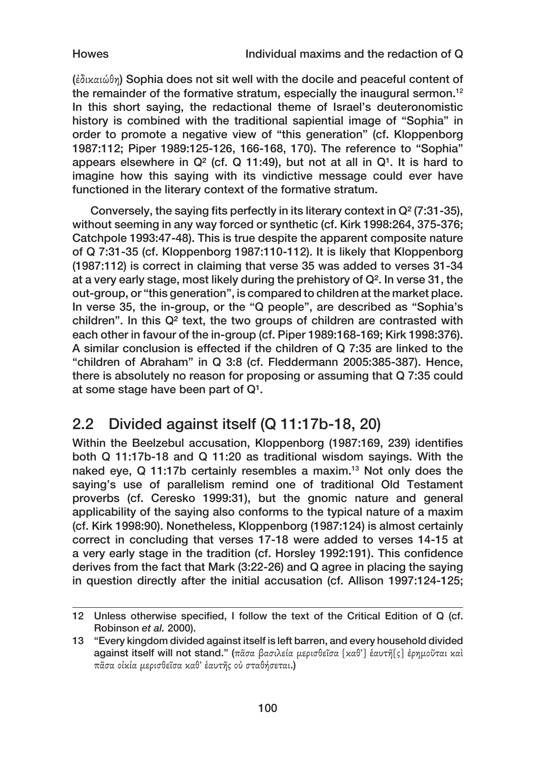Howes Individual maxims and the redaction of Q

(ἐδικαιώθη) Sophia does not sit well with the docile and peaceful content of the remainder of the formative stratum, especially the inaugural sermon.<sup>12</sup> In this short saying, the redactional theme of Israel's deuteronomistic history is combined with the traditional sapiential image of "Sophia" in order to promote a negative view of "this generation" (cf. Kloppenborg 1987:112; Piper 1989:125‑126, 166‑168, 170). The reference to "Sophia" appears elsewhere in  $Q<sup>2</sup>$  (cf. Q 11:49), but not at all in  $Q<sup>1</sup>$ . It is hard to imagine how this saying with its vindictive message could ever have functioned in the literary context of the formative stratum.

Conversely, the saying fits perfectly in its literary context in Q² (7:31‑35), without seeming in any way forced or synthetic (cf. Kirk 1998:264, 375‑376; Catchpole 1993:47‑48). This is true despite the apparent composite nature of Q 7:31‑35 (cf. Kloppenborg 1987:110‑112). It is likely that Kloppenborg (1987:112) is correct in claiming that verse 35 was added to verses 31‑34 at a very early stage, most likely during the prehistory of Q². In verse 31, the out‑group, or "this generation", is compared to children at the market place. In verse 35, the in-group, or the "Q people", are described as "Sophia's children". In this Q² text, the two groups of children are contrasted with each other in favour of the in-group (cf. Piper 1989:168-169; Kirk 1998:376). A similar conclusion is effected if the children of Q 7:35 are linked to the "children of Abraham" in Q 3:8 (cf. Fleddermann 2005:385‑387). Hence, there is absolutely no reason for proposing or assuming that Q 7:35 could at some stage have been part of  $Q^1$ .

## 2.2 Divided against itself (Q 11:17b-18, 20)

Within the Beelzebul accusation, Kloppenborg (1987:169, 239) identifies both Q 11:17b‑18 and Q 11:20 as traditional wisdom sayings. With the naked eye, Q 11:17b certainly resembles a maxim.13 Not only does the saying's use of parallelism remind one of traditional Old Testament proverbs (cf. Ceresko 1999:31), but the gnomic nature and general applicability of the saying also conforms to the typical nature of a maxim (cf. Kirk 1998:90). Nonetheless, Kloppenborg (1987:124) is almost certainly correct in concluding that verses 17‑18 were added to verses 14‑15 at a very early stage in the tradition (cf. Horsley 1992:191). This confidence derives from the fact that Mark (3:22‑26) and Q agree in placing the saying in question directly after the initial accusation (cf. Allison 1997:124-125;

<sup>12</sup> Unless otherwise specified, I follow the text of the Critical Edition of Q (cf. Robinson *et al.* 2000).

<sup>13</sup> "Every kingdom divided against itself is left barren, and every household divided against itself will not stand." (πᾶσα βασιλεία μερισθεῖσα [καθ'] ἑαυτῆ[ς] ἐρημοῦται καὶ πᾶσα οἰκία μερισθεῖσα καθ' ἑαυτῆς οὐ σταθήσεται.)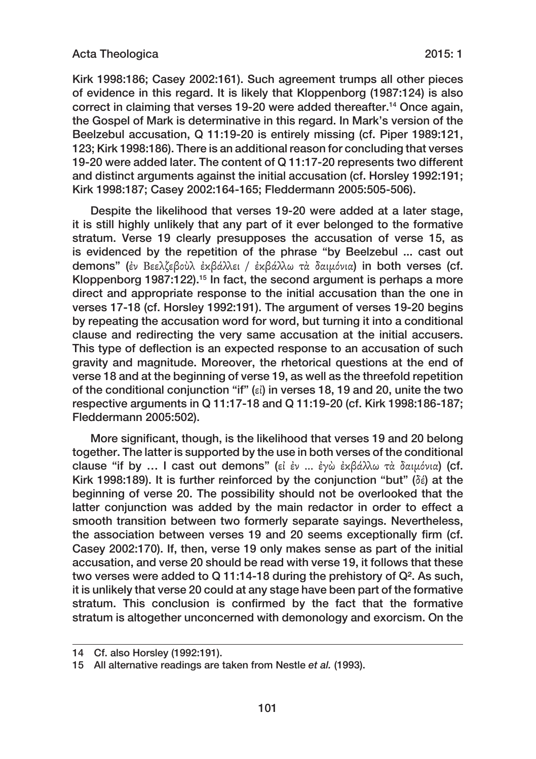#### Acta Theologica 2015: 1

Kirk 1998:186; Casey 2002:161). Such agreement trumps all other pieces of evidence in this regard. It is likely that Kloppenborg (1987:124) is also correct in claiming that verses 19‑20 were added thereafter.14 Once again, the Gospel of Mark is determinative in this regard. In Mark's version of the Beelzebul accusation, Q 11:19‑20 is entirely missing (cf. Piper 1989:121, 123; Kirk 1998:186). There is an additional reason for concluding that verses 19‑20 were added later. The content of Q 11:17‑20 represents two different and distinct arguments against the initial accusation (cf. Horsley 1992:191; Kirk 1998:187; Casey 2002:164‑165; Fleddermann 2005:505‑506).

Despite the likelihood that verses 19‑20 were added at a later stage, it is still highly unlikely that any part of it ever belonged to the formative stratum. Verse 19 clearly presupposes the accusation of verse 15, as is evidenced by the repetition of the phrase "by Beelzebul ... cast out demons" (ἐν Βεελζεβοὺλ ἐκβάλλει / ἐκβάλλω τὰ δαιμόνια) in both verses (cf. Kloppenborg 1987:122).<sup>15</sup> In fact, the second argument is perhaps a more direct and appropriate response to the initial accusation than the one in verses 17‑18 (cf. Horsley 1992:191). The argument of verses 19‑20 begins by repeating the accusation word for word, but turning it into a conditional clause and redirecting the very same accusation at the initial accusers. This type of deflection is an expected response to an accusation of such gravity and magnitude. Moreover, the rhetorical questions at the end of verse 18 and at the beginning of verse 19, as well as the threefold repetition of the conditional conjunction "if" (εἰ) in verses 18, 19 and 20, unite the two respective arguments in Q 11:17‑18 and Q 11:19‑20 (cf. Kirk 1998:186‑187; Fleddermann 2005:502).

More significant, though, is the likelihood that verses 19 and 20 belong together. The latter is supported by the use in both verses of the conditional clause "if by … I cast out demons" (εἰ ἐν … ἐγὼ ἐκβάλλω τὰ δαιμόνια) (cf. Kirk 1998:189). It is further reinforced by the conjunction "but" ( $\delta \acute{\epsilon}$ ) at the beginning of verse 20. The possibility should not be overlooked that the latter conjunction was added by the main redactor in order to effect a smooth transition between two formerly separate sayings. Nevertheless, the association between verses 19 and 20 seems exceptionally firm (cf. Casey 2002:170). If, then, verse 19 only makes sense as part of the initial accusation, and verse 20 should be read with verse 19, it follows that these two verses were added to Q 11:14-18 during the prehistory of Q<sup>2</sup>. As such, it is unlikely that verse 20 could at any stage have been part of the formative stratum. This conclusion is confirmed by the fact that the formative stratum is altogether unconcerned with demonology and exorcism. On the

<sup>14</sup> Cf. also Horsley (1992:191).

<sup>15</sup> All alternative readings are taken from Nestle *et al.* (1993).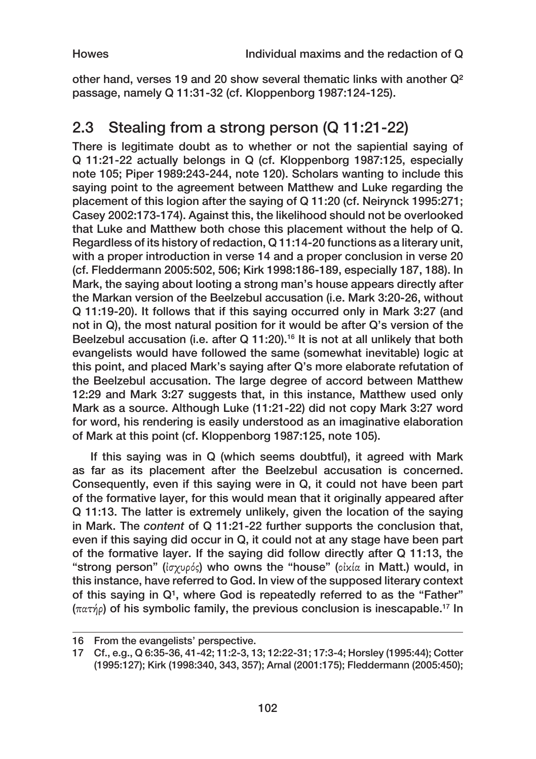other hand, verses 19 and 20 show several thematic links with another  $Q<sup>2</sup>$ passage, namely Q 11:31‑32 (cf. Kloppenborg 1987:124‑125).

## 2.3 Stealing from a strong person (Q 11:21‑22)

There is legitimate doubt as to whether or not the sapiential saying of Q 11:21‑22 actually belongs in Q (cf. Kloppenborg 1987:125, especially note 105; Piper 1989:243‑244, note 120). Scholars wanting to include this saying point to the agreement between Matthew and Luke regarding the placement of this logion after the saying of Q 11:20 (cf. Neirynck 1995:271; Casey 2002:173‑174). Against this, the likelihood should not be overlooked that Luke and Matthew both chose this placement without the help of Q. Regardless of its history of redaction, Q 11:14‑20 functions as a literary unit, with a proper introduction in verse 14 and a proper conclusion in verse 20 (cf. Fleddermann 2005:502, 506; Kirk 1998:186‑189, especially 187, 188). In Mark, the saying about looting a strong man's house appears directly after the Markan version of the Beelzebul accusation (i.e. Mark 3:20‑26, without Q 11:19‑20). It follows that if this saying occurred only in Mark 3:27 (and not in Q), the most natural position for it would be after Q's version of the Beelzebul accusation (i.e. after Q 11:20).16 It is not at all unlikely that both evangelists would have followed the same (somewhat inevitable) logic at this point, and placed Mark's saying after Q's more elaborate refutation of the Beelzebul accusation. The large degree of accord between Matthew 12:29 and Mark 3:27 suggests that, in this instance, Matthew used only Mark as a source. Although Luke (11:21‑22) did not copy Mark 3:27 word for word, his rendering is easily understood as an imaginative elaboration of Mark at this point (cf. Kloppenborg 1987:125, note 105).

If this saying was in Q (which seems doubtful), it agreed with Mark as far as its placement after the Beelzebul accusation is concerned. Consequently, even if this saying were in Q, it could not have been part of the formative layer, for this would mean that it originally appeared after Q 11:13. The latter is extremely unlikely, given the location of the saying in Mark. The *content* of Q 11:21‑22 further supports the conclusion that, even if this saying did occur in Q, it could not at any stage have been part of the formative layer. If the saying did follow directly after Q 11:13, the "strong person" (ἰσχυρός) who owns the "house" (οἰκία in Matt.) would, in this instance, have referred to God. In view of the supposed literary context of this saying in  $Q<sup>1</sup>$ , where God is repeatedly referred to as the "Father" (πατήρ) of his symbolic family, the previous conclusion is inescapable.17 In

<sup>16</sup> From the evangelists' perspective.

<sup>17</sup> Cf., e.g., Q 6:35‑36, 41‑42; 11:2‑3, 13; 12:22‑31; 17:3‑4; Horsley (1995:44); Cotter (1995:127); Kirk (1998:340, 343, 357); Arnal (2001:175); Fleddermann (2005:450);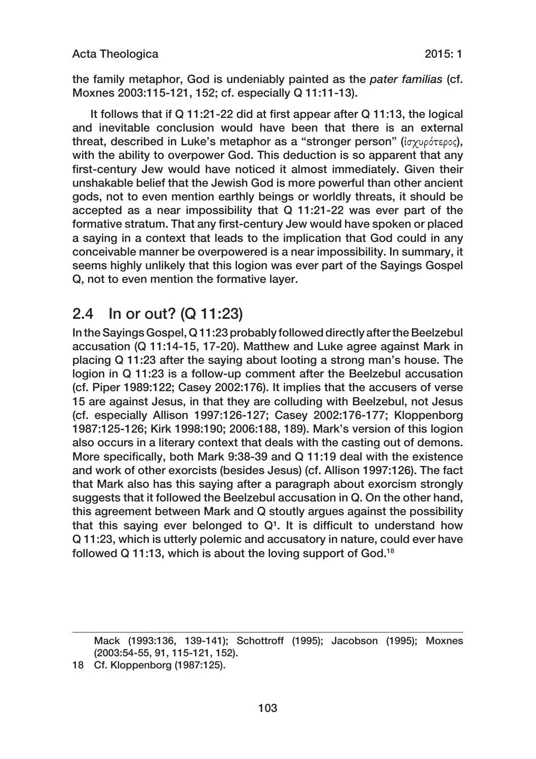the family metaphor, God is undeniably painted as the *pater familias* (cf. Moxnes 2003:115‑121, 152; cf. especially Q 11:11‑13).

It follows that if Q 11:21-22 did at first appear after Q 11:13, the logical and inevitable conclusion would have been that there is an external threat, described in Luke's metaphor as a "stronger person" (ἰσχυρότερος), with the ability to overpower God. This deduction is so apparent that any first-century Jew would have noticed it almost immediately. Given their unshakable belief that the Jewish God is more powerful than other ancient gods, not to even mention earthly beings or worldly threats, it should be accepted as a near impossibility that Q 11:21‑22 was ever part of the formative stratum. That any first‑century Jew would have spoken or placed a saying in a context that leads to the implication that God could in any conceivable manner be overpowered is a near impossibility. In summary, it seems highly unlikely that this logion was ever part of the Sayings Gospel Q, not to even mention the formative layer.

### 2.4 In or out? (Q 11:23)

In the Sayings Gospel, Q 11:23 probably followed directly after the Beelzebul accusation (Q 11:14‑15, 17‑20). Matthew and Luke agree against Mark in placing Q 11:23 after the saying about looting a strong man's house. The logion in Q 11:23 is a follow-up comment after the Beelzebul accusation (cf. Piper 1989:122; Casey 2002:176). It implies that the accusers of verse 15 are against Jesus, in that they are colluding with Beelzebul, not Jesus (cf. especially Allison 1997:126‑127; Casey 2002:176‑177; Kloppenborg 1987:125‑126; Kirk 1998:190; 2006:188, 189). Mark's version of this logion also occurs in a literary context that deals with the casting out of demons. More specifically, both Mark 9:38‑39 and Q 11:19 deal with the existence and work of other exorcists (besides Jesus) (cf. Allison 1997:126). The fact that Mark also has this saying after a paragraph about exorcism strongly suggests that it followed the Beelzebul accusation in Q. On the other hand, this agreement between Mark and Q stoutly argues against the possibility that this saying ever belonged to  $Q<sup>1</sup>$ . It is difficult to understand how Q 11:23, which is utterly polemic and accusatory in nature, could ever have followed Q 11:13, which is about the loving support of God.<sup>18</sup>

Mack (1993:136, 139‑141); Schottroff (1995); Jacobson (1995); Moxnes (2003:54‑55, 91, 115‑121, 152).

<sup>18</sup> Cf. Kloppenborg (1987:125).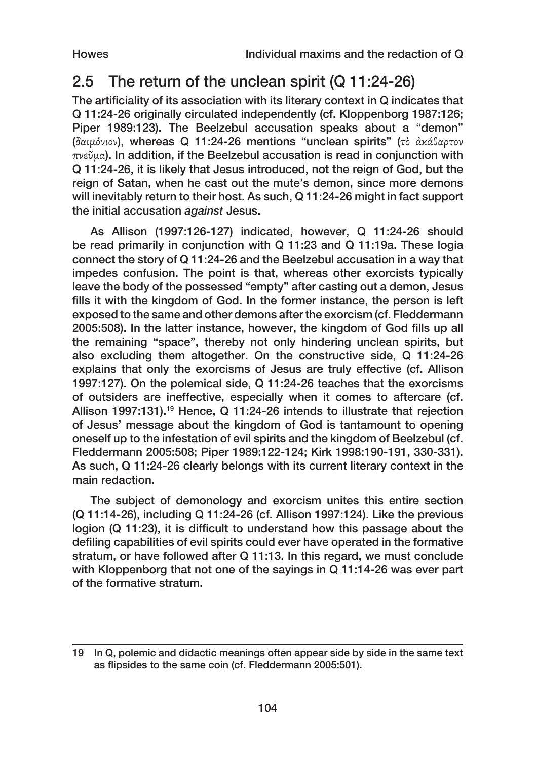## 2.5 The return of the unclean spirit (Q 11:24-26)

The artificiality of its association with its literary context in Q indicates that Q 11:24‑26 originally circulated independently (cf. Kloppenborg 1987:126; Piper 1989:123). The Beelzebul accusation speaks about a "demon" (δαιμόνιον), whereas Q 11:24‑26 mentions "unclean spirits" (τὸ ἀκάθαρτον πνεῦμα). In addition, if the Beelzebul accusation is read in conjunction with Q 11:24‑26, it is likely that Jesus introduced, not the reign of God, but the reign of Satan, when he cast out the mute's demon, since more demons will inevitably return to their host. As such, Q 11:24-26 might in fact support the initial accusation *against* Jesus.

As Allison (1997:126‑127) indicated, however, Q 11:24‑26 should be read primarily in conjunction with Q 11:23 and Q 11:19a. These logia connect the story of Q 11:24‑26 and the Beelzebul accusation in a way that impedes confusion. The point is that, whereas other exorcists typically leave the body of the possessed "empty" after casting out a demon, Jesus fills it with the kingdom of God. In the former instance, the person is left exposed to the same and other demons after the exorcism (cf. Fleddermann 2005:508). In the latter instance, however, the kingdom of God fills up all the remaining "space", thereby not only hindering unclean spirits, but also excluding them altogether. On the constructive side, Q 11:24‑26 explains that only the exorcisms of Jesus are truly effective (cf. Allison 1997:127). On the polemical side, Q 11:24‑26 teaches that the exorcisms of outsiders are ineffective, especially when it comes to aftercare (cf. Allison 1997:131).<sup>19</sup> Hence, Q 11:24-26 intends to illustrate that rejection of Jesus' message about the kingdom of God is tantamount to opening oneself up to the infestation of evil spirits and the kingdom of Beelzebul (cf. Fleddermann 2005:508; Piper 1989:122‑124; Kirk 1998:190‑191, 330‑331). As such, Q 11:24‑26 clearly belongs with its current literary context in the main redaction.

The subject of demonology and exorcism unites this entire section (Q 11:14‑26), including Q 11:24‑26 (cf. Allison 1997:124). Like the previous logion (Q 11:23), it is difficult to understand how this passage about the defiling capabilities of evil spirits could ever have operated in the formative stratum, or have followed after Q 11:13. In this regard, we must conclude with Kloppenborg that not one of the sayings in Q 11:14‑26 was ever part of the formative stratum.

<sup>19</sup> In Q, polemic and didactic meanings often appear side by side in the same text as flipsides to the same coin (cf. Fleddermann 2005:501).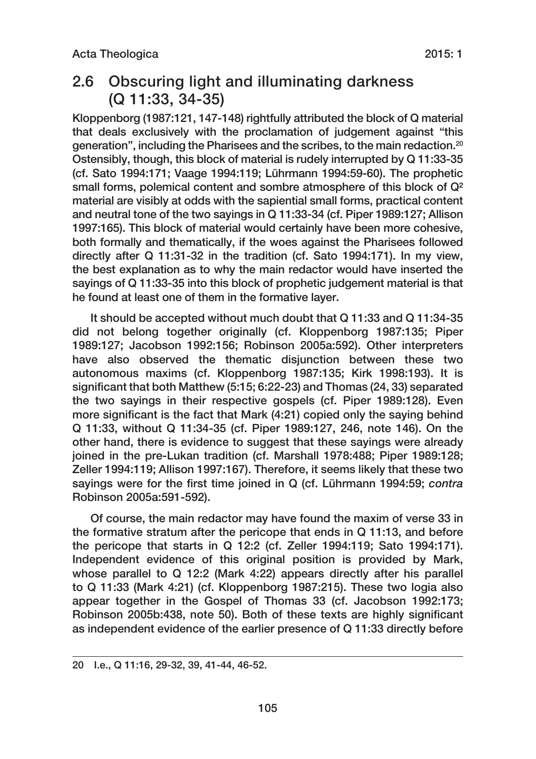### 2.6 Obscuring light and illuminating darkness (Q 11:33, 34‑35)

Kloppenborg (1987:121, 147‑148) rightfully attributed the block of Q material that deals exclusively with the proclamation of judgement against "this generation", including the Pharisees and the scribes, to the main redaction.20 Ostensibly, though, this block of material is rudely interrupted by Q 11:33‑35 (cf. Sato 1994:171; Vaage 1994:119; Lührmann 1994:59‑60). The prophetic small forms, polemical content and sombre atmosphere of this block of Q<sup>2</sup> material are visibly at odds with the sapiential small forms, practical content and neutral tone of the two sayings in Q 11:33‑34 (cf. Piper 1989:127; Allison 1997:165). This block of material would certainly have been more cohesive, both formally and thematically, if the woes against the Pharisees followed directly after Q 11:31‑32 in the tradition (cf. Sato 1994:171). In my view, the best explanation as to why the main redactor would have inserted the sayings of Q 11:33‑35 into this block of prophetic judgement material is that he found at least one of them in the formative layer.

It should be accepted without much doubt that Q 11:33 and Q 11:34‑35 did not belong together originally (cf. Kloppenborg 1987:135; Piper 1989:127; Jacobson 1992:156; Robinson 2005a:592). Other interpreters have also observed the thematic disjunction between these two autonomous maxims (cf. Kloppenborg 1987:135; Kirk 1998:193). It is significant that both Matthew (5:15; 6:22‑23) and Thomas (24, 33) separated the two sayings in their respective gospels (cf. Piper 1989:128). Even more significant is the fact that Mark (4:21) copied only the saying behind Q 11:33, without Q 11:34‑35 (cf. Piper 1989:127, 246, note 146). On the other hand, there is evidence to suggest that these sayings were already joined in the pre-Lukan tradition (cf. Marshall 1978:488; Piper 1989:128; Zeller 1994:119; Allison 1997:167). Therefore, it seems likely that these two sayings were for the first time joined in Q (cf. Lührmann 1994:59; *contra* Robinson 2005a:591‑592).

Of course, the main redactor may have found the maxim of verse 33 in the formative stratum after the pericope that ends in Q 11:13, and before the pericope that starts in Q 12:2 (cf. Zeller 1994:119; Sato 1994:171). Independent evidence of this original position is provided by Mark, whose parallel to Q 12:2 (Mark 4:22) appears directly after his parallel to Q 11:33 (Mark 4:21) (cf. Kloppenborg 1987:215). These two logia also appear together in the Gospel of Thomas 33 (cf. Jacobson 1992:173; Robinson 2005b:438, note 50). Both of these texts are highly significant as independent evidence of the earlier presence of Q 11:33 directly before

<sup>20</sup> I.e., Q 11:16, 29‑32, 39, 41‑44, 46‑52.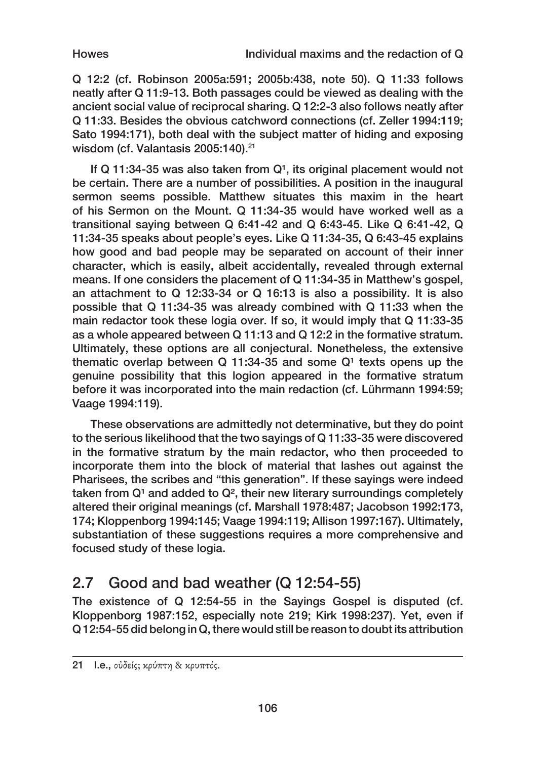Q 12:2 (cf. Robinson 2005a:591; 2005b:438, note 50). Q 11:33 follows neatly after Q 11:9‑13. Both passages could be viewed as dealing with the ancient social value of reciprocal sharing. Q 12:2‑3 also follows neatly after Q 11:33. Besides the obvious catchword connections (cf. Zeller 1994:119; Sato 1994:171), both deal with the subject matter of hiding and exposing wisdom (cf. Valantasis 2005:140).<sup>21</sup>

If Q 11:34-35 was also taken from  $Q<sup>1</sup>$ , its original placement would not be certain. There are a number of possibilities. A position in the inaugural sermon seems possible. Matthew situates this maxim in the heart of his Sermon on the Mount. Q 11:34‑35 would have worked well as a transitional saying between Q 6:41‑42 and Q 6:43‑45. Like Q 6:41‑42, Q 11:34‑35 speaks about people's eyes. Like Q 11:34‑35, Q 6:43‑45 explains how good and bad people may be separated on account of their inner character, which is easily, albeit accidentally, revealed through external means. If one considers the placement of Q 11:34‑35 in Matthew's gospel, an attachment to Q 12:33‑34 or Q 16:13 is also a possibility. It is also possible that Q 11:34‑35 was already combined with Q 11:33 when the main redactor took these logia over. If so, it would imply that Q 11:33-35 as a whole appeared between Q 11:13 and Q 12:2 in the formative stratum. Ultimately, these options are all conjectural. Nonetheless, the extensive thematic overlap between  $Q$  11:34-35 and some  $Q<sup>1</sup>$  texts opens up the genuine possibility that this logion appeared in the formative stratum before it was incorporated into the main redaction (cf. Lührmann 1994:59; Vaage 1994:119).

These observations are admittedly not determinative, but they do point to the serious likelihood that the two sayings of Q 11:33‑35 were discovered in the formative stratum by the main redactor, who then proceeded to incorporate them into the block of material that lashes out against the Pharisees, the scribes and "this generation". If these sayings were indeed taken from  $Q<sup>1</sup>$  and added to  $Q<sup>2</sup>$ , their new literary surroundings completely altered their original meanings (cf. Marshall 1978:487; Jacobson 1992:173, 174; Kloppenborg 1994:145; Vaage 1994:119; Allison 1997:167). Ultimately, substantiation of these suggestions requires a more comprehensive and focused study of these logia.

## 2.7 Good and bad weather (Q 12:54‑55)

The existence of Q 12:54-55 in the Sayings Gospel is disputed (cf. Kloppenborg 1987:152, especially note 219; Kirk 1998:237). Yet, even if Q 12:54‑55 did belong in Q, there would still be reason to doubt its attribution

<sup>21</sup> I.e., οὐδείς; κρύπτη & κρυπτός.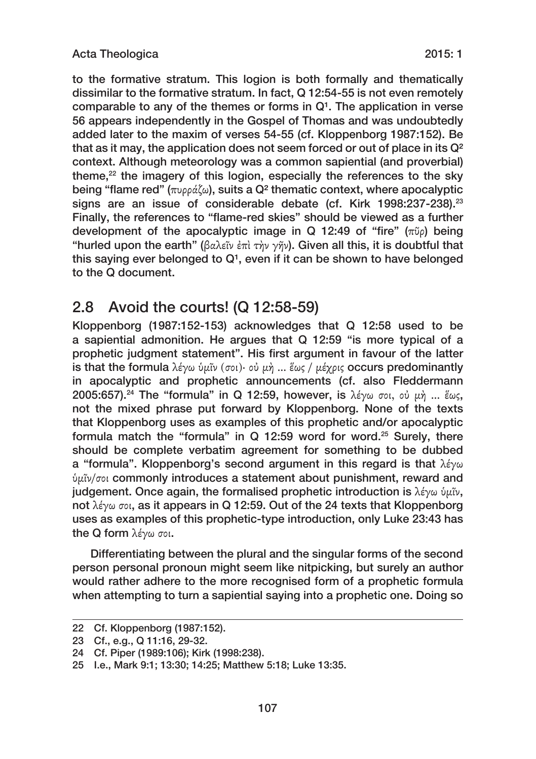to the formative stratum. This logion is both formally and thematically dissimilar to the formative stratum. In fact, Q 12:54‑55 is not even remotely comparable to any of the themes or forms in  $Q<sup>1</sup>$ . The application in verse 56 appears independently in the Gospel of Thomas and was undoubtedly added later to the maxim of verses 54‑55 (cf. Kloppenborg 1987:152). Be that as it may, the application does not seem forced or out of place in its Q² context. Although meteorology was a common sapiential (and proverbial) theme, $22$  the imagery of this logion, especially the references to the sky being "flame red" (πυρράζω), suits a Q<sup>2</sup> thematic context, where apocalyptic signs are an issue of considerable debate (cf. Kirk 1998:237-238).<sup>23</sup> Finally, the references to "flame-red skies" should be viewed as a further development of the apocalyptic image in Q 12:49 of "fire" (πῦρ) being "hurled upon the earth" (βαλεῖν ἐπὶ τὴν γῆν). Given all this, it is doubtful that this saying ever belonged to  $Q<sup>1</sup>$ , even if it can be shown to have belonged to the Q document.

### 2.8 Avoid the courts! (Q 12:58‑59)

Kloppenborg (1987:152‑153) acknowledges that Q 12:58 used to be a sapiential admonition. He argues that Q 12:59 "is more typical of a prophetic judgment statement". His first argument in favour of the latter is that the formula λέγω ὑμῖν (σοι)∙ οὐ μὴ … ἕως / μέχρις occurs predominantly in apocalyptic and prophetic announcements (cf. also Fleddermann 2005:657).<sup>24</sup> The "formula" in Q 12:59, however, is λέγω σοι, οὐ μὴ ... ἕως, not the mixed phrase put forward by Kloppenborg. None of the texts that Kloppenborg uses as examples of this prophetic and/or apocalyptic formula match the "formula" in Q 12:59 word for word.25 Surely, there should be complete verbatim agreement for something to be dubbed a "formula". Kloppenborg's second argument in this regard is that λέγω ὑμῖν/σοι commonly introduces a statement about punishment, reward and judgement. Once again, the formalised prophetic introduction is λέγω ὑμῖν, not λέγω σοι, as it appears in Q 12:59. Out of the 24 texts that Kloppenborg uses as examples of this prophetic-type introduction, only Luke 23:43 has the Q form λέγω σοι.

Differentiating between the plural and the singular forms of the second person personal pronoun might seem like nitpicking, but surely an author would rather adhere to the more recognised form of a prophetic formula when attempting to turn a sapiential saying into a prophetic one. Doing so

<sup>22</sup> Cf. Kloppenborg (1987:152).

<sup>23</sup> Cf., e.g., Q 11:16, 29‑32.

<sup>24</sup> Cf. Piper (1989:106); Kirk (1998:238).

<sup>25</sup> I.e., Mark 9:1; 13:30; 14:25; Matthew 5:18; Luke 13:35.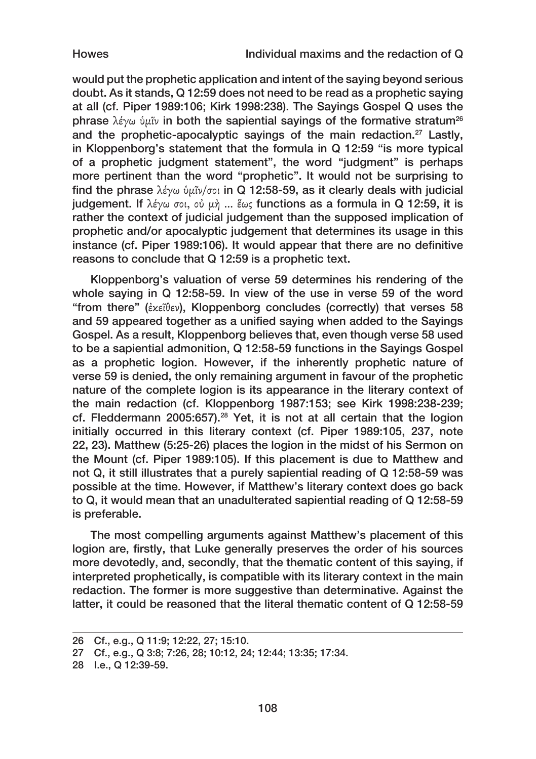would put the prophetic application and intent of the saying beyond serious doubt. As it stands, Q 12:59 does not need to be read as a prophetic saying at all (cf. Piper 1989:106; Kirk 1998:238). The Sayings Gospel Q uses the phrase λέγω ὑμῖν in both the sapiential sayings of the formative stratum<sup>26</sup> and the prophetic-apocalyptic sayings of the main redaction.<sup>27</sup> Lastly, in Kloppenborg's statement that the formula in Q 12:59 "is more typical of a prophetic judgment statement", the word "judgment" is perhaps more pertinent than the word "prophetic". It would not be surprising to find the phrase λέγω ὑμῖν/σοι in Q 12:58-59, as it clearly deals with judicial judgement. If λέγω σοι, οὐ μὴ ... ἕως functions as a formula in Q 12:59, it is rather the context of judicial judgement than the supposed implication of prophetic and/or apocalyptic judgement that determines its usage in this instance (cf. Piper 1989:106). It would appear that there are no definitive reasons to conclude that Q 12:59 is a prophetic text.

Kloppenborg's valuation of verse 59 determines his rendering of the whole saying in Q 12:58‑59. In view of the use in verse 59 of the word "from there" (ἐκεῖθεν), Kloppenborg concludes (correctly) that verses 58 and 59 appeared together as a unified saying when added to the Sayings Gospel. As a result, Kloppenborg believes that, even though verse 58 used to be a sapiential admonition, Q 12:58‑59 functions in the Sayings Gospel as a prophetic logion. However, if the inherently prophetic nature of verse 59 is denied, the only remaining argument in favour of the prophetic nature of the complete logion is its appearance in the literary context of the main redaction (cf. Kloppenborg 1987:153; see Kirk 1998:238-239; cf. Fleddermann 2005:657).28 Yet, it is not at all certain that the logion initially occurred in this literary context (cf. Piper 1989:105, 237, note 22, 23). Matthew (5:25‑26) places the logion in the midst of his Sermon on the Mount (cf. Piper 1989:105). If this placement is due to Matthew and not Q, it still illustrates that a purely sapiential reading of Q 12:58‑59 was possible at the time. However, if Matthew's literary context does go back to Q, it would mean that an unadulterated sapiential reading of Q 12:58‑59 is preferable.

The most compelling arguments against Matthew's placement of this logion are, firstly, that Luke generally preserves the order of his sources more devotedly, and, secondly, that the thematic content of this saying, if interpreted prophetically, is compatible with its literary context in the main redaction. The former is more suggestive than determinative. Against the latter, it could be reasoned that the literal thematic content of Q 12:58‑59

<sup>26</sup> Cf., e.g., Q 11:9; 12:22, 27; 15:10.

<sup>27</sup> Cf., e.g., Q 3:8; 7:26, 28; 10:12, 24; 12:44; 13:35; 17:34.

<sup>28</sup> I.e., Q 12:39‑59.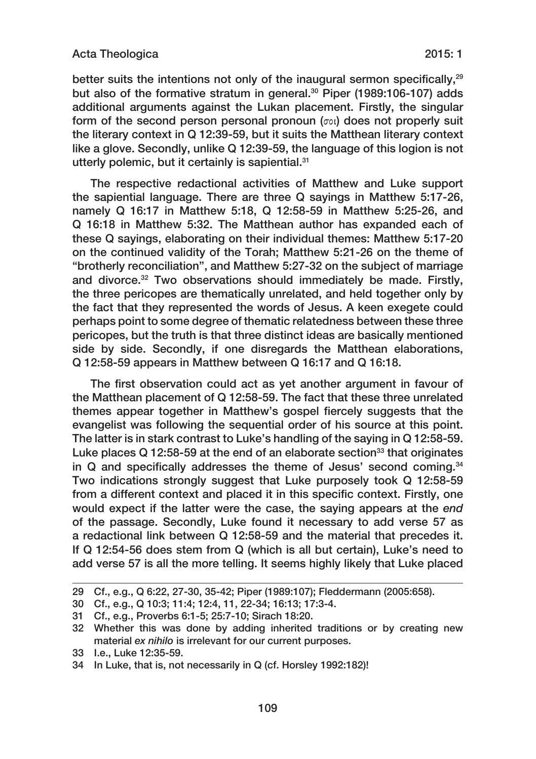better suits the intentions not only of the inaugural sermon specifically,<sup>29</sup> but also of the formative stratum in general.<sup>30</sup> Piper (1989:106-107) adds additional arguments against the Lukan placement. Firstly, the singular form of the second person personal pronoun (σοι) does not properly suit the literary context in Q 12:39‑59, but it suits the Matthean literary context like a glove. Secondly, unlike Q 12:39‑59, the language of this logion is not utterly polemic, but it certainly is sapiential.<sup>31</sup>

The respective redactional activities of Matthew and Luke support the sapiential language. There are three Q sayings in Matthew 5:17‑26, namely Q 16:17 in Matthew 5:18, Q 12:58‑59 in Matthew 5:25‑26, and Q 16:18 in Matthew 5:32. The Matthean author has expanded each of these Q sayings, elaborating on their individual themes: Matthew 5:17‑20 on the continued validity of the Torah; Matthew 5:21‑26 on the theme of "brotherly reconciliation", and Matthew 5:27‑32 on the subject of marriage and divorce.<sup>32</sup> Two observations should immediately be made. Firstly, the three pericopes are thematically unrelated, and held together only by the fact that they represented the words of Jesus. A keen exegete could perhaps point to some degree of thematic relatedness between these three pericopes, but the truth is that three distinct ideas are basically mentioned side by side. Secondly, if one disregards the Matthean elaborations, Q 12:58‑59 appears in Matthew between Q 16:17 and Q 16:18.

The first observation could act as yet another argument in favour of the Matthean placement of Q 12:58‑59. The fact that these three unrelated themes appear together in Matthew's gospel fiercely suggests that the evangelist was following the sequential order of his source at this point. The latter is in stark contrast to Luke's handling of the saying in Q 12:58‑59. Luke places  $Q$  12:58-59 at the end of an elaborate section<sup>33</sup> that originates in  $\Omega$  and specifically addresses the theme of Jesus' second coming.  $34$ Two indications strongly suggest that Luke purposely took Q 12:58‑59 from a different context and placed it in this specific context. Firstly, one would expect if the latter were the case, the saying appears at the *end* of the passage. Secondly, Luke found it necessary to add verse 57 as a redactional link between Q 12:58‑59 and the material that precedes it. If Q 12:54‑56 does stem from Q (which is all but certain), Luke's need to add verse 57 is all the more telling. It seems highly likely that Luke placed

<sup>29</sup> Cf., e.g., Q 6:22, 27‑30, 35‑42; Piper (1989:107); Fleddermann (2005:658).

<sup>30</sup> Cf., e.g., Q 10:3; 11:4; 12:4, 11, 22‑34; 16:13; 17:3‑4.

<sup>31</sup> Cf., e.g., Proverbs 6:1‑5; 25:7‑10; Sirach 18:20.

<sup>32</sup> Whether this was done by adding inherited traditions or by creating new material *ex nihilo* is irrelevant for our current purposes.

<sup>33</sup> I.e., Luke 12:35‑59.

<sup>34</sup> In Luke, that is, not necessarily in Q (cf. Horsley 1992:182)!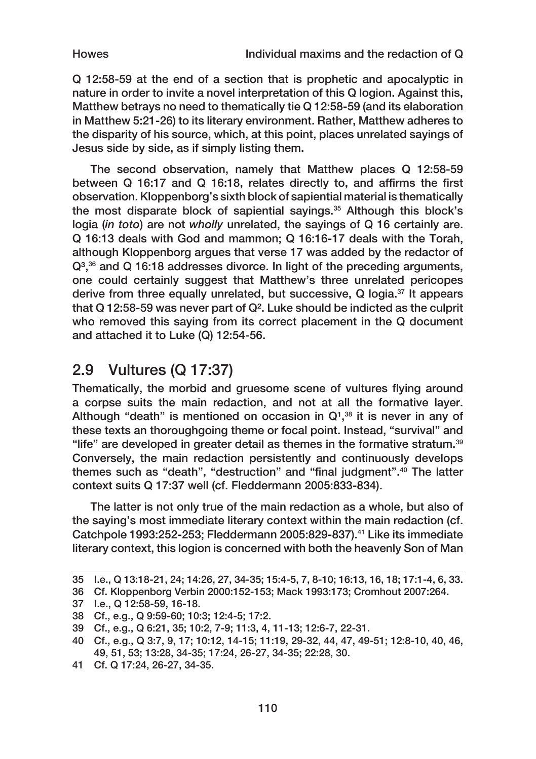Q 12:58‑59 at the end of a section that is prophetic and apocalyptic in nature in order to invite a novel interpretation of this Q logion. Against this, Matthew betrays no need to thematically tie Q 12:58‑59 (and its elaboration in Matthew 5:21‑26) to its literary environment. Rather, Matthew adheres to the disparity of his source, which, at this point, places unrelated sayings of Jesus side by side, as if simply listing them.

The second observation, namely that Matthew places Q 12:58‑59 between Q 16:17 and Q 16:18, relates directly to, and affirms the first observation. Kloppenborg's sixth block of sapiential material is thematically the most disparate block of sapiential sayings.<sup>35</sup> Although this block's logia (*in toto*) are not *wholly* unrelated, the sayings of Q 16 certainly are. Q 16:13 deals with God and mammon; Q 16:16‑17 deals with the Torah, although Kloppenborg argues that verse 17 was added by the redactor of Q<sup>3</sup>,<sup>36</sup> and Q 16:18 addresses divorce. In light of the preceding arguments, one could certainly suggest that Matthew's three unrelated pericopes derive from three equally unrelated, but successive, Q logia.37 It appears that Q 12:58‑59 was never part of Q². Luke should be indicted as the culprit who removed this saying from its correct placement in the Q document and attached it to Luke (Q) 12:54‑56.

### 2.9 Vultures (Q 17:37)

Thematically, the morbid and gruesome scene of vultures flying around a corpse suits the main redaction, and not at all the formative layer. Although "death" is mentioned on occasion in  $Q<sup>1,38</sup>$  it is never in any of these texts an thoroughgoing theme or focal point. Instead, "survival" and "life" are developed in greater detail as themes in the formative stratum.39 Conversely, the main redaction persistently and continuously develops themes such as "death", "destruction" and "final judgment".40 The latter context suits Q 17:37 well (cf. Fleddermann 2005:833‑834).

The latter is not only true of the main redaction as a whole, but also of the saying's most immediate literary context within the main redaction (cf. Catchpole 1993:252‑253; Fleddermann 2005:829‑837).41 Like its immediate literary context, this logion is concerned with both the heavenly Son of Man

<sup>35</sup> I.e., Q 13:18‑21, 24; 14:26, 27, 34‑35; 15:4‑5, 7, 8‑10; 16:13, 16, 18; 17:1‑4, 6, 33.

<sup>36</sup> Cf. Kloppenborg Verbin 2000:152‑153; Mack 1993:173; Cromhout 2007:264.

<sup>37</sup> I.e., Q 12:58‑59, 16‑18.

<sup>38</sup> Cf., e.g., Q 9:59‑60; 10:3; 12:4‑5; 17:2.

<sup>39</sup> Cf., e.g., Q 6:21, 35; 10:2, 7‑9; 11:3, 4, 11‑13; 12:6‑7, 22‑31.

<sup>40</sup> Cf., e.g., Q 3:7, 9, 17; 10:12, 14‑15; 11:19, 29‑32, 44, 47, 49‑51; 12:8‑10, 40, 46, 49, 51, 53; 13:28, 34‑35; 17:24, 26‑27, 34‑35; 22:28, 30.

<sup>41</sup> Cf. Q 17:24, 26‑27, 34‑35.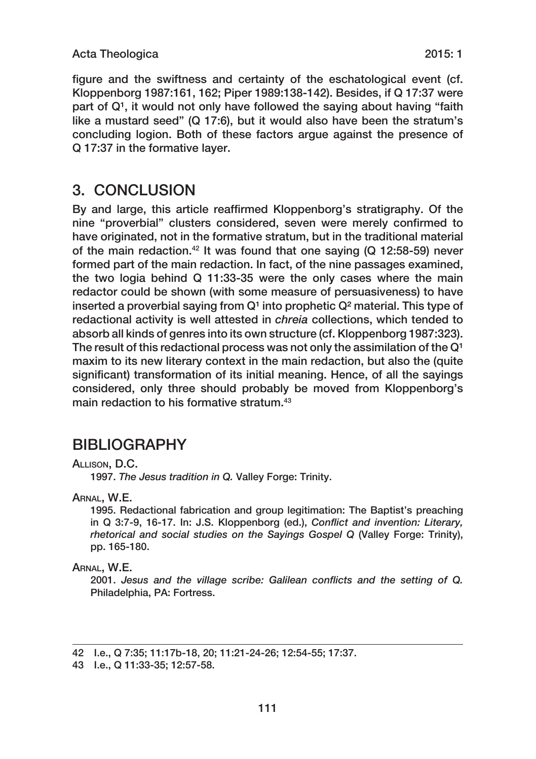#### Acta Theologica 2015: 1

figure and the swiftness and certainty of the eschatological event (cf. Kloppenborg 1987:161, 162; Piper 1989:138‑142). Besides, if Q 17:37 were part of  $Q<sup>1</sup>$ , it would not only have followed the saying about having "faith like a mustard seed" (Q 17:6), but it would also have been the stratum's concluding logion. Both of these factors argue against the presence of Q 17:37 in the formative layer.

### 3. CONCLUSION

By and large, this article reaffirmed Kloppenborg's stratigraphy. Of the nine "proverbial" clusters considered, seven were merely confirmed to have originated, not in the formative stratum, but in the traditional material of the main redaction.<sup>42</sup> It was found that one saying (Q 12:58-59) never formed part of the main redaction. In fact, of the nine passages examined, the two logia behind Q 11:33‑35 were the only cases where the main redactor could be shown (with some measure of persuasiveness) to have inserted a proverbial saying from  $Q<sup>1</sup>$  into prophetic  $Q<sup>2</sup>$  material. This type of redactional activity is well attested in *chreia* collections, which tended to absorb all kinds of genres into its own structure (cf. Kloppenborg 1987:323). The result of this redactional process was not only the assimilation of the  $Q<sup>1</sup>$ maxim to its new literary context in the main redaction, but also the (quite significant) transformation of its initial meaning. Hence, of all the sayings considered, only three should probably be moved from Kloppenborg's main redaction to his formative stratum.<sup>43</sup>

### BIBLIOGRAPHY

#### Allison, D.C.

1997. *The Jesus tradition in Q.* Valley Forge: Trinity.

Arnal, W.E.

1995. Redactional fabrication and group legitimation: The Baptist's preaching in Q 3:7‑9, 16‑17. In: J.S. Kloppenborg (ed.), *Conflict and invention: Literary, rhetorical and social studies on the Sayings Gospel Q* (Valley Forge: Trinity), pp. 165‑180.

#### Arnal, W.E.

2001. *Jesus and the village scribe: Galilean conflicts and the setting of Q.*  Philadelphia, PA: Fortress.

<sup>42</sup> I.e., Q 7:35; 11:17b‑18, 20; 11:21‑24‑26; 12:54‑55; 17:37.

<sup>43</sup> I.e., Q 11:33‑35; 12:57‑58.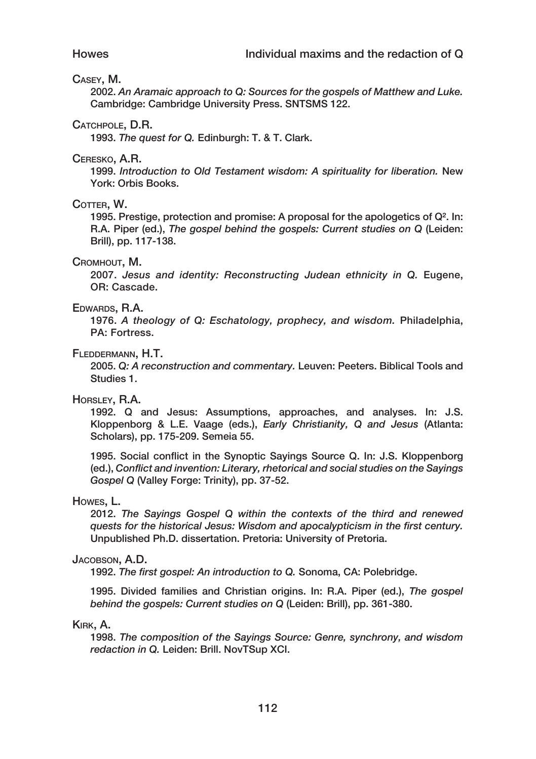#### Casey, M.

2002. *An Aramaic approach to Q: Sources for the gospels of Matthew and Luke.*  Cambridge: Cambridge University Press. SNTSMS 122.

#### CATCHPOLE, D.R.

1993. *The quest for Q.* Edinburgh: T. & T. Clark.

#### Ceresko, A.R.

1999. *Introduction to Old Testament wisdom: A spirituality for liberation.* New York: Orbis Books.

#### COTTER, W.

1995. Prestige, protection and promise: A proposal for the apologetics of Q². In: R.A. Piper (ed.), *The gospel behind the gospels: Current studies on Q* (Leiden: Brill), pp. 117‑138.

#### Cromhout, M.

2007. *Jesus and identity: Reconstructing Judean ethnicity in Q.* Eugene, OR: Cascade.

#### Edwards, R.A.

1976. *A theology of Q: Eschatology, prophecy, and wisdom.* Philadelphia, PA: Fortress.

#### Fleddermann, H.T.

2005. *Q: A reconstruction and commentary.* Leuven: Peeters. Biblical Tools and Studies 1.

### Horsley, R.A.

1992. Q and Jesus: Assumptions, approaches, and analyses. In: J.S. Kloppenborg & L.E. Vaage (eds.), *Early Christianity, Q and Jesus* (Atlanta: Scholars), pp. 175‑209. Semeia 55.

1995. Social conflict in the Synoptic Sayings Source Q. In: J.S. Kloppenborg (ed.), *Conflict and invention: Literary, rhetorical and social studies on the Sayings*  Gospel Q (Valley Forge: Trinity), pp. 37-52.

#### Howes, L.

2012. *The Sayings Gospel Q within the contexts of the third and renewed quests for the historical Jesus: Wisdom and apocalypticism in the first century.*  Unpublished Ph.D. dissertation. Pretoria: University of Pretoria.

#### JACOBSON, A.D.

1992. *The first gospel: An introduction to Q.* Sonoma, CA: Polebridge.

1995. Divided families and Christian origins. In: R.A. Piper (ed.), *The gospel behind the gospels: Current studies on Q* (Leiden: Brill), pp. 361‑380.

#### Kirk, A.

1998. *The composition of the Sayings Source: Genre, synchrony, and wisdom redaction in Q.* Leiden: Brill. NovTSup XCI.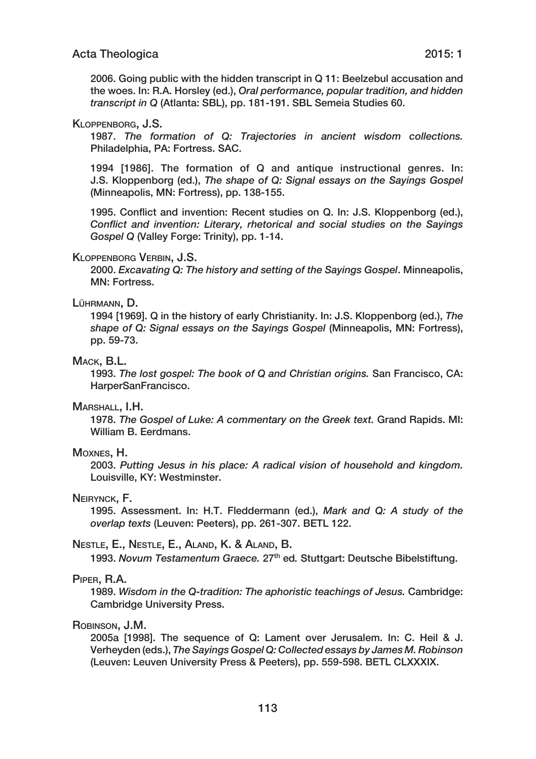2006. Going public with the hidden transcript in Q 11: Beelzebul accusation and the woes. In: R.A. Horsley (ed.), *Oral performance, popular tradition, and hidden transcript in Q* (Atlanta: SBL), pp. 181‑191. SBL Semeia Studies 60.

#### Kloppenborg, J.S.

1987. *The formation of Q: Trajectories in ancient wisdom collections.*  Philadelphia, PA: Fortress. SAC.

1994 [1986]. The formation of Q and antique instructional genres. In: J.S. Kloppenborg (ed.), *The shape of Q: Signal essays on the Sayings Gospel* (Minneapolis, MN: Fortress), pp. 138-155.

1995. Conflict and invention: Recent studies on Q. In: J.S. Kloppenborg (ed.), *Conflict and invention: Literary, rhetorical and social studies on the Sayings Gospel Q* (Valley Forge: Trinity), pp. 1‑14.

#### Kloppenborg Verbin, J.S.

2000. *Excavating Q: The history and setting of the Sayings Gospel*. Minneapolis, MN: Fortress.

#### Lührmann, D.

1994 [1969]. Q in the history of early Christianity. In: J.S. Kloppenborg (ed.), *The shape of Q: Signal essays on the Sayings Gospel* (Minneapolis, MN: Fortress), pp. 59‑73.

#### Mack, B.L.

1993. *The lost gospel: The book of Q and Christian origins.* San Francisco, CA: HarperSanFrancisco.

#### MARSHALL, I.H.

1978. *The Gospel of Luke: A commentary on the Greek text.* Grand Rapids. MI: William B. Eerdmans.

#### Moxnes, H.

2003. *Putting Jesus in his place: A radical vision of household and kingdom.*  Louisville, KY: Westminster.

#### Neirynck, F.

1995. Assessment. In: H.T. Fleddermann (ed.), *Mark and Q: A study of the overlap texts* (Leuven: Peeters), pp. 261‑307. BETL 122.

#### Nestle, E., Nestle, E., Aland, K. & Aland, B.

1993. *Novum Testamentum Graece.* 27th ed*.* Stuttgart: Deutsche Bibelstiftung.

#### Piper, R.A.

1989. *Wisdom in the Q‑tradition: The aphoristic teachings of Jesus.* Cambridge: Cambridge University Press.

#### Robinson, J.M.

2005a [1998]. The sequence of Q: Lament over Jerusalem. In: C. Heil & J. Verheyden (eds.), *The Sayings Gospel Q: Collected essays by James M. Robinson* (Leuven: Leuven University Press & Peeters), pp. 559‑598. BETL CLXXXIX.